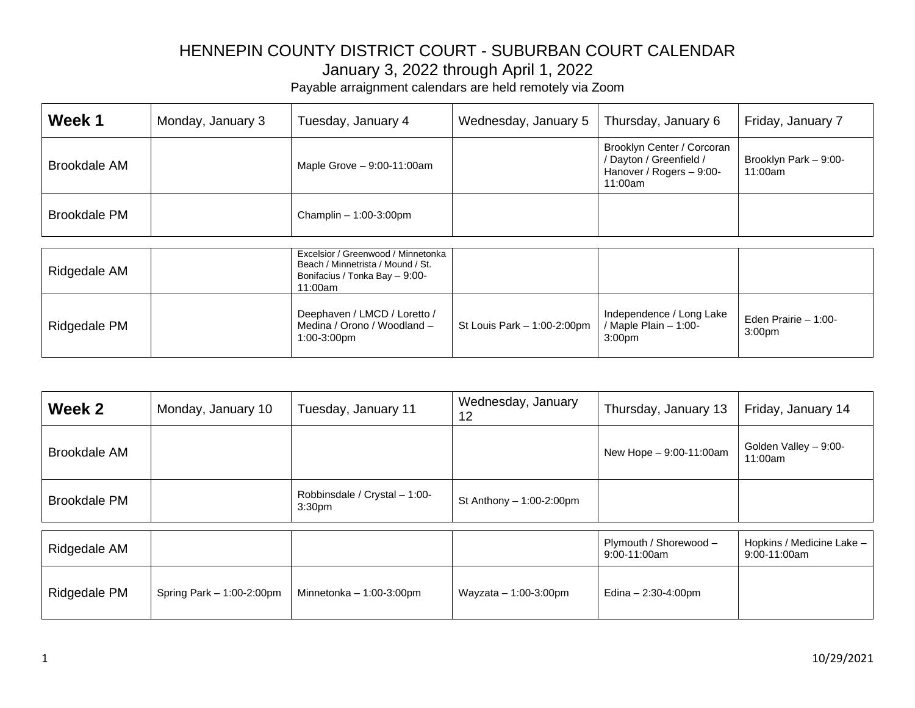| Week 1              | Monday, January 3 | Tuesday, January 4           | Wednesday, January 5 | Thursday, January 6                                                                          | Friday, January 7                |
|---------------------|-------------------|------------------------------|----------------------|----------------------------------------------------------------------------------------------|----------------------------------|
| Brookdale AM        |                   | Maple Grove $-9:00-11:00$ am |                      | Brooklyn Center / Corcoran<br>/ Dayton / Greenfield /<br>Hanover / Rogers - 9:00-<br>11:00am | Brooklyn Park - 9:00-<br>11:00am |
| <b>Brookdale PM</b> |                   | Champlin $-1:00-3:00$ pm     |                      |                                                                                              |                                  |

| Ridgedale AM | Excelsior / Greenwood / Minnetonka<br>Beach / Minnetrista / Mound / St.<br>Bonifacius / Tonka Bay - 9:00-<br>11:00am |                               |                                                                         |                                             |
|--------------|----------------------------------------------------------------------------------------------------------------------|-------------------------------|-------------------------------------------------------------------------|---------------------------------------------|
| Ridgedale PM | Deephaven / LMCD / Loretto /<br>Medina / Orono / Woodland -<br>$1:00-3:00$ pm                                        | St Louis Park $-1:00-2:00$ pm | Independence / Long Lake<br>/ Maple Plain - 1:00-<br>3:00 <sub>pm</sub> | Eden Prairie $-1:00-$<br>3:00 <sub>pm</sub> |

| Week 2              | Monday, January 10          | Tuesday, January 11                                 | Wednesday, January<br>12   | Thursday, January 13                     | Friday, January 14                        |
|---------------------|-----------------------------|-----------------------------------------------------|----------------------------|------------------------------------------|-------------------------------------------|
| <b>Brookdale AM</b> |                             |                                                     |                            | New Hope - 9:00-11:00am                  | Golden Valley - 9:00-<br>11:00am          |
| <b>Brookdale PM</b> |                             | Robbinsdale / Crystal - 1:00-<br>3:30 <sub>pm</sub> | St Anthony $-1:00-2:00$ pm |                                          |                                           |
|                     |                             |                                                     |                            |                                          |                                           |
| Ridgedale AM        |                             |                                                     |                            | Plymouth / Shorewood -<br>$9:00-11:00am$ | Hopkins / Medicine Lake -<br>9:00-11:00am |
| Ridgedale PM        | Spring Park $-1:00-2:00$ pm | Minnetonka $-1:00-3:00$ pm                          | Wayzata $-1:00-3:00$ pm    | Edina $- 2:30 - 4:00$ pm                 |                                           |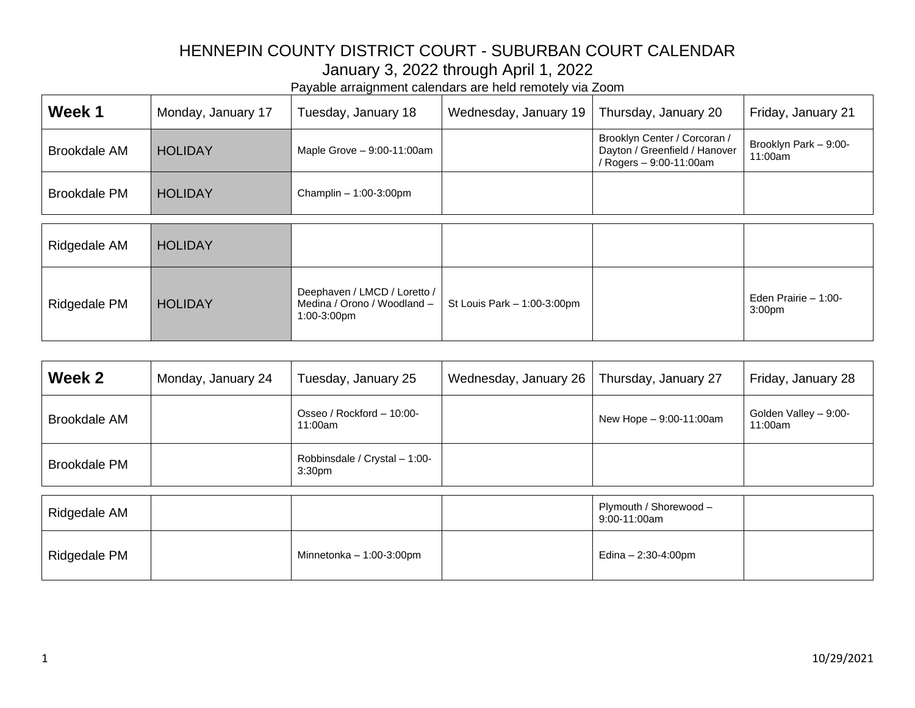| Week 1              | Monday, January 17 | Tuesday, January 18                                                        | Wednesday, January 19       | Thursday, January 20                                                                     | Friday, January 21                         |
|---------------------|--------------------|----------------------------------------------------------------------------|-----------------------------|------------------------------------------------------------------------------------------|--------------------------------------------|
| <b>Brookdale AM</b> | <b>HOLIDAY</b>     | Maple Grove $-9:00-11:00$ am                                               |                             | Brooklyn Center / Corcoran /<br>Dayton / Greenfield / Hanover<br>/ Rogers - 9:00-11:00am | Brooklyn Park - 9:00-<br>11:00am           |
| <b>Brookdale PM</b> | <b>HOLIDAY</b>     | Champlin $-1:00-3:00$ pm                                                   |                             |                                                                                          |                                            |
| Ridgedale AM        | <b>HOLIDAY</b>     |                                                                            |                             |                                                                                          |                                            |
| Ridgedale PM        | <b>HOLIDAY</b>     | Deephaven / LMCD / Loretto /<br>Medina / Orono / Woodland -<br>1:00-3:00pm | St Louis Park - 1:00-3:00pm |                                                                                          | Eden Prairie - 1:00-<br>3:00 <sub>pm</sub> |

| Week 2              | Monday, January 24 | Tuesday, January 25                                 | Wednesday, January 26 | Thursday, January 27            | Friday, January 28               |
|---------------------|--------------------|-----------------------------------------------------|-----------------------|---------------------------------|----------------------------------|
| <b>Brookdale AM</b> |                    | Osseo / Rockford - 10:00-<br>11:00am                |                       | New Hope - 9:00-11:00am         | Golden Valley - 9:00-<br>11:00am |
| <b>Brookdale PM</b> |                    | Robbinsdale / Crystal - 1:00-<br>3:30 <sub>pm</sub> |                       |                                 |                                  |
|                     |                    |                                                     |                       | Plymouth / Shorewood -          |                                  |
| Ridgedale AM        |                    |                                                     |                       | $9:00-11:00am$                  |                                  |
| Ridgedale PM        |                    | Minnetonka $-1:00-3:00$ pm                          |                       | Edina $- 2:30 - 4:00 \text{pm}$ |                                  |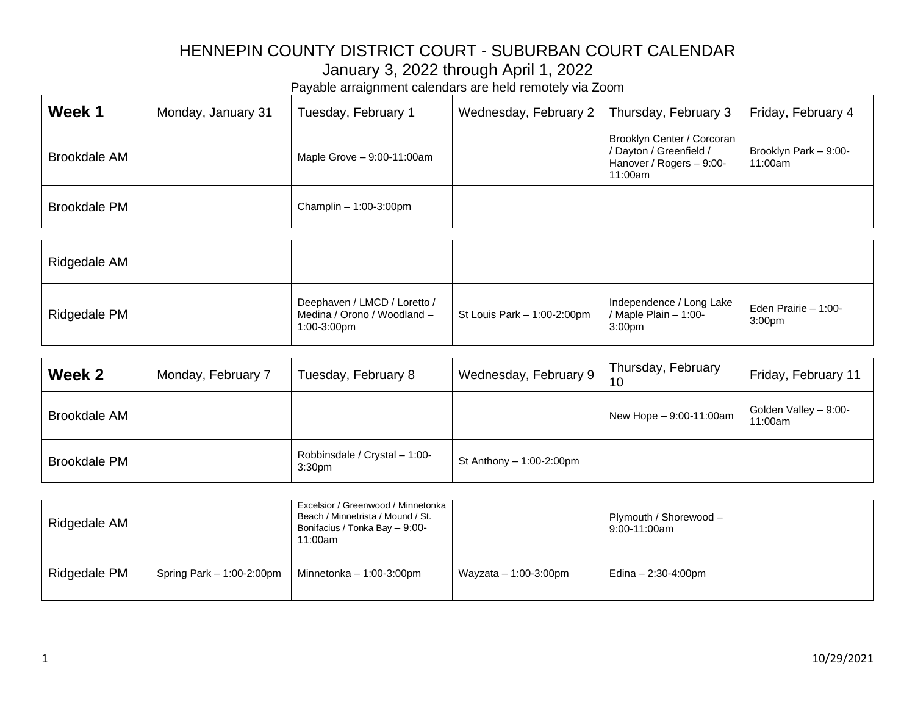| Week 1              | Monday, January 31 | Tuesday, February 1          | Wednesday, February 2 | Thursday, February 3                                                                         | Friday, February 4               |
|---------------------|--------------------|------------------------------|-----------------------|----------------------------------------------------------------------------------------------|----------------------------------|
| Brookdale AM        |                    | Maple Grove $-9:00-11:00$ am |                       | Brooklyn Center / Corcoran<br>/ Dayton / Greenfield /<br>Hanover / Rogers - 9:00-<br>11:00am | Brooklyn Park - 9:00-<br>11:00am |
| <b>Brookdale PM</b> |                    | Champlin $-1:00-3:00$ pm     |                       |                                                                                              |                                  |

| Ridgedale AM |                                                                            |                             |                                                                           |                                            |
|--------------|----------------------------------------------------------------------------|-----------------------------|---------------------------------------------------------------------------|--------------------------------------------|
| Ridgedale PM | Deephaven / LMCD / Loretto /<br>Medina / Orono / Woodland -<br>1:00-3:00pm | St Louis Park - 1:00-2:00pm | Independence / Long Lake<br>$\frac{1}{2}$ / Maple Plain - 1:00-<br>3:00pm | Eden Prairie - 1:00-<br>3:00 <sub>pm</sub> |

| Week 2              | Monday, February 7 | Tuesday, February 8                                 | Wednesday, February 9      | Thursday, February<br>10 | Friday, February 11              |
|---------------------|--------------------|-----------------------------------------------------|----------------------------|--------------------------|----------------------------------|
| <b>Brookdale AM</b> |                    |                                                     |                            | New Hope - 9:00-11:00am  | Golden Valley - 9:00-<br>11:00am |
| <b>Brookdale PM</b> |                    | Robbinsdale / Crystal - 1:00-<br>3:30 <sub>pm</sub> | St Anthony $-1:00-2:00$ pm |                          |                                  |

| Ridgedale AM |                             | Excelsior / Greenwood / Minnetonka<br>Beach / Minnetrista / Mound / St.<br>Bonifacius / Tonka Bay - 9:00-<br>11:00am |                         | Plymouth / Shorewood -<br>9:00-11:00am |  |
|--------------|-----------------------------|----------------------------------------------------------------------------------------------------------------------|-------------------------|----------------------------------------|--|
| Ridgedale PM | Spring Park $-1:00-2:00$ pm | Minnetonka $-1:00-3:00$ pm                                                                                           | Wayzata $-1:00-3:00$ pm | Edina - 2:30-4:00pm                    |  |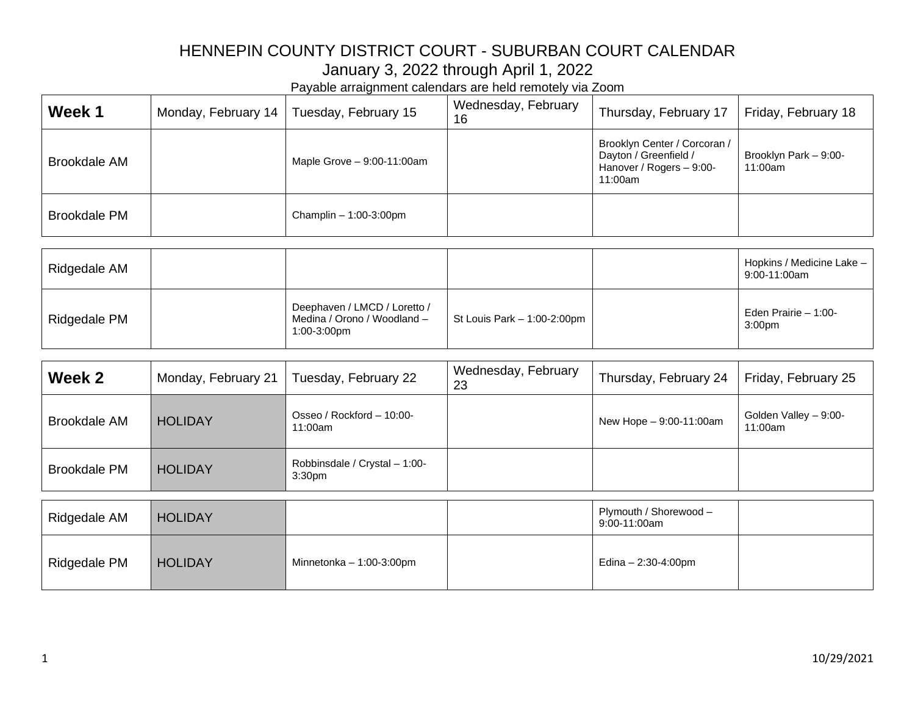| Week 1              | Monday, February 14 | Tuesday, February 15         | Wednesday, February<br>16 | Thursday, February 17                                                                        | Friday, February 18                       |
|---------------------|---------------------|------------------------------|---------------------------|----------------------------------------------------------------------------------------------|-------------------------------------------|
| <b>Brookdale AM</b> |                     | Maple Grove $-9:00-11:00$ am |                           | Brooklyn Center / Corcoran /<br>Dayton / Greenfield /<br>Hanover / Rogers - 9:00-<br>11:00am | Brooklyn Park - 9:00-<br>11:00am          |
| <b>Brookdale PM</b> |                     | Champlin $-1:00-3:00$ pm     |                           |                                                                                              |                                           |
| Ridgedale AM        |                     |                              |                           |                                                                                              | Hopkins / Medicine Lake -<br>9:00-11:00am |

| Ridgedale AM |                                                                            |                               | <b>I IUDAIIIS</b> / IVICUIUIIIC LANC –<br>9:00-11:00am |
|--------------|----------------------------------------------------------------------------|-------------------------------|--------------------------------------------------------|
| Ridgedale PM | Deephaven / LMCD / Loretto /<br>Medina / Orono / Woodland -<br>1:00-3:00pm | St Louis Park $-1:00-2:00$ pm | Eden Prairie - 1:00-<br>3:00 <sub>pm</sub>             |

| Week 2              | Monday, February 21 | Tuesday, February 22                                | Wednesday, February<br>23 | Thursday, February 24    | Friday, February 25              |
|---------------------|---------------------|-----------------------------------------------------|---------------------------|--------------------------|----------------------------------|
| <b>Brookdale AM</b> | <b>HOLIDAY</b>      | Osseo / Rockford - 10:00-<br>11:00am                |                           | New Hope - 9:00-11:00am  | Golden Valley - 9:00-<br>11:00am |
| <b>Brookdale PM</b> | <b>HOLIDAY</b>      | Robbinsdale / Crystal - 1:00-<br>3:30 <sub>pm</sub> |                           |                          |                                  |
|                     |                     |                                                     |                           | Plymouth / Shorewood -   |                                  |
| Ridgedale AM        | <b>HOLIDAY</b>      |                                                     |                           | $9:00-11:00am$           |                                  |
| Ridgedale PM        | <b>HOLIDAY</b>      | Minnetonka $-1:00-3:00$ pm                          |                           | Edina $- 2:30 - 4:00$ pm |                                  |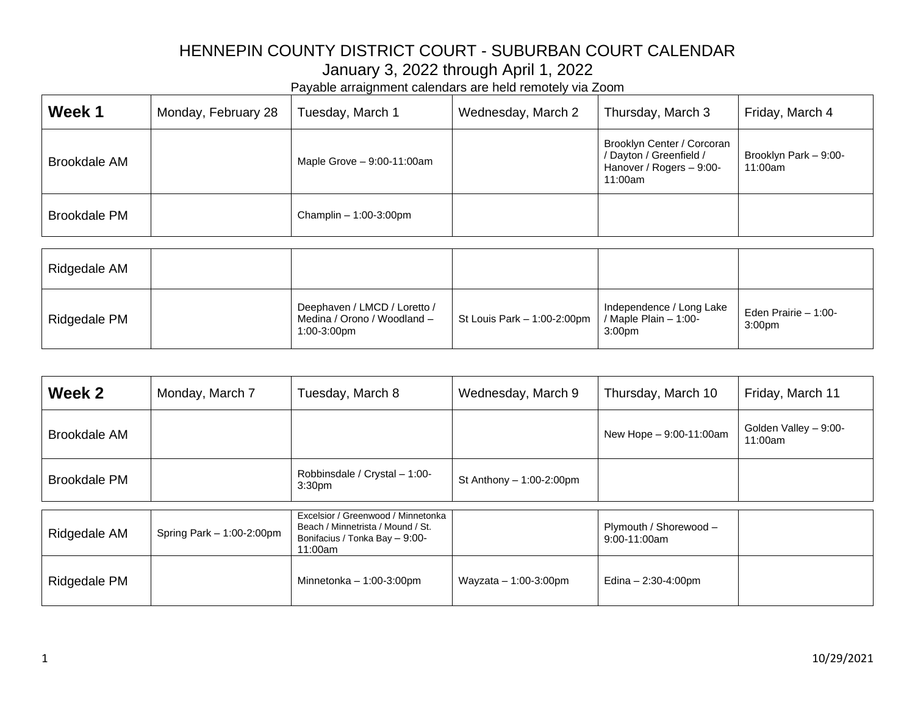| Week 1              | Monday, February 28 | Tuesday, March 1           | Wednesday, March 2 | Thursday, March 3                                                                            | Friday, March 4                  |
|---------------------|---------------------|----------------------------|--------------------|----------------------------------------------------------------------------------------------|----------------------------------|
| <b>Brookdale AM</b> |                     | Maple Grove - 9:00-11:00am |                    | Brooklyn Center / Corcoran<br>/ Dayton / Greenfield /<br>Hanover / Rogers - 9:00-<br>11:00am | Brooklyn Park - 9:00-<br>11:00am |
| <b>Brookdale PM</b> |                     | Champlin $-1:00-3:00$ pm   |                    |                                                                                              |                                  |
| Ridgedale AM        |                     |                            |                    |                                                                                              |                                  |

| Ridgedale AM |                                                                            |                                                     |                                    |                                             |
|--------------|----------------------------------------------------------------------------|-----------------------------------------------------|------------------------------------|---------------------------------------------|
| Ridgedale PM | Deephaven / LMCD / Loretto /<br>Medina / Orono / Woodland -<br>1:00-3:00pm | St Louis Park - 1:00-2:00pm   / Maple Plain - 1:00- | Independence / Long Lake<br>3:00pm | Eden Prairie $-1:00-$<br>3:00 <sub>pm</sub> |

| Week 2              | Monday, March 7           | Tuesday, March 8                                                                                                     | Wednesday, March 9         | Thursday, March 10                     | Friday, March 11                 |
|---------------------|---------------------------|----------------------------------------------------------------------------------------------------------------------|----------------------------|----------------------------------------|----------------------------------|
| <b>Brookdale AM</b> |                           |                                                                                                                      |                            | New Hope - 9:00-11:00am                | Golden Valley - 9:00-<br>11:00am |
| <b>Brookdale PM</b> |                           | Robbinsdale / Crystal - 1:00-<br>3:30 <sub>pm</sub>                                                                  | St Anthony $-1:00-2:00$ pm |                                        |                                  |
| Ridgedale AM        | Spring Park - 1:00-2:00pm | Excelsior / Greenwood / Minnetonka<br>Beach / Minnetrista / Mound / St.<br>Bonifacius / Tonka Bay - 9:00-<br>11:00am |                            | Plymouth / Shorewood -<br>9:00-11:00am |                                  |
| Ridgedale PM        |                           | Minnetonka $-1:00-3:00$ pm                                                                                           | Wayzata $-1:00-3:00$ pm    | Edina $- 2:30 - 4:00$ pm               |                                  |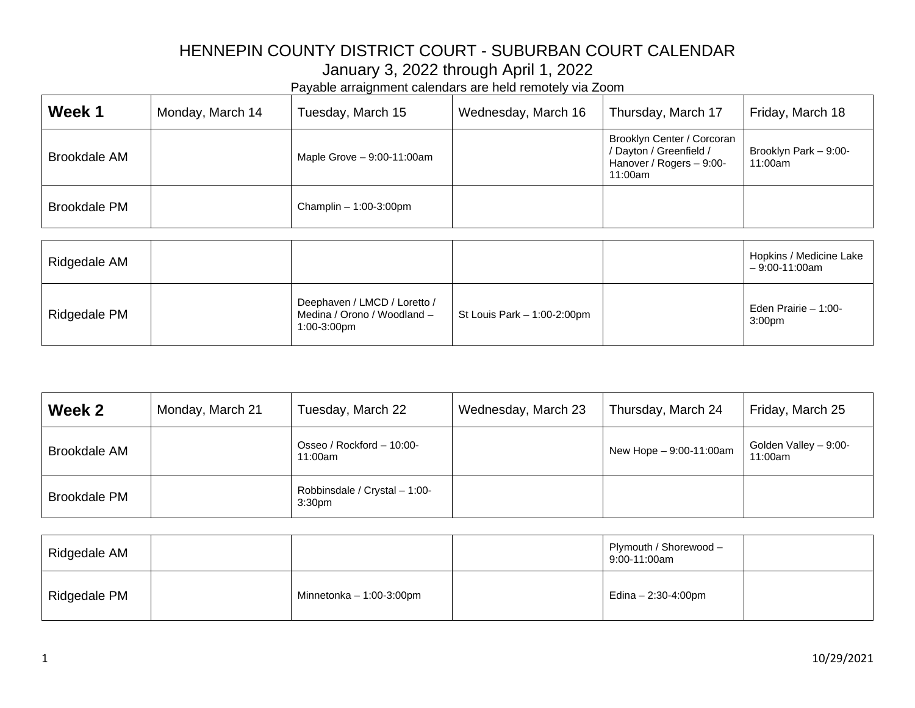| Week 1              | Monday, March 14 | Tuesday, March 15            | Wednesday, March 16 | Thursday, March 17                                                                           | Friday, March 18                           |
|---------------------|------------------|------------------------------|---------------------|----------------------------------------------------------------------------------------------|--------------------------------------------|
| <b>Brookdale AM</b> |                  | Maple Grove $-9:00-11:00$ am |                     | Brooklyn Center / Corcoran<br>/ Dayton / Greenfield /<br>Hanover / Rogers - 9:00-<br>11:00am | Brooklyn Park - 9:00-<br>11:00am           |
| <b>Brookdale PM</b> |                  | Champlin $-1:00-3:00$ pm     |                     |                                                                                              |                                            |
| Ridgedale AM        |                  |                              |                     |                                                                                              | Hopkins / Medicine Lake<br>$-9:00-11:00am$ |

|              |                                                                            |                             | – J.VV <sup>–</sup> FT.VVAIII              |
|--------------|----------------------------------------------------------------------------|-----------------------------|--------------------------------------------|
| Ridgedale PM | Deephaven / LMCD / Loretto /<br>Medina / Orono / Woodland -<br>1:00-3:00pm | St Louis Park - 1:00-2:00pm | Eden Prairie - 1:00-<br>3:00 <sub>pm</sub> |

| Week 2              | Monday, March 21 | Tuesday, March 22                                   | Wednesday, March 23 | Thursday, March 24      | Friday, March 25                 |
|---------------------|------------------|-----------------------------------------------------|---------------------|-------------------------|----------------------------------|
| <b>Brookdale AM</b> |                  | Osseo / Rockford - 10:00-<br>11:00am                |                     | New Hope - 9:00-11:00am | Golden Valley - 9:00-<br>11:00am |
| <b>Brookdale PM</b> |                  | Robbinsdale / Crystal - 1:00-<br>3:30 <sub>pm</sub> |                     |                         |                                  |

| Ridgedale AM |                            | Plymouth / Shorewood -<br>9:00-11:00am |  |
|--------------|----------------------------|----------------------------------------|--|
| Ridgedale PM | Minnetonka $-1:00-3:00$ pm | Edina - 2:30-4:00pm                    |  |